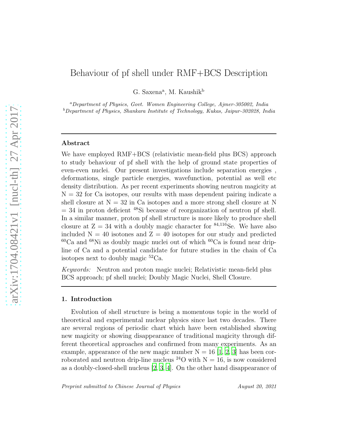# Behaviour of pf shell under RMF+BCS Description

G. Saxena<sup>a</sup>, M. Kaushik<sup>b</sup>

<sup>a</sup>Department of Physics, Govt. Women Engineering College, Ajmer-305002, India  $^{b}$ Department of Physics, Shankara Institute of Technology, Kukas, Jaipur-302028, India

#### Abstract

We have employed RMF+BCS (relativistic mean-field plus BCS) approach to study behaviour of pf shell with the help of ground state properties of even-even nuclei. Our present investigations include separation energies , deformations, single particle energies, wavefunction, potential as well etc density distribution. As per recent experiments showing neutron magicity at  $N = 32$  for Ca isotopes, our results with mass dependent pairing indicate a shell closure at  $N = 32$  in Ca isotopes and a more strong shell closure at N  $= 34$  in proton deficient <sup>48</sup>Si because of reorganization of neutron pf shell. In a similar manner, proton pf shell structure is more likely to produce shell closure at  $Z = 34$  with a doubly magic character for <sup>84,116</sup>Se. We have also included  $N = 40$  isotones and  $Z = 40$  isotopes for our study and predicted  $60<sup>60</sup>$ Ca and  $6<sup>8</sup>$ Ni as doubly magic nuclei out of which  $6<sup>60</sup>$ Ca is found near dripline of Ca and a potential candidate for future studies in the chain of Ca isotopes next to doubly magic  ${}^{52}Ca$ .

*Keywords:* Neutron and proton magic nuclei; Relativistic mean-field plus BCS approach; pf shell nuclei; Doubly Magic Nuclei, Shell Closure.

#### 1. Introduction

Evolution of shell structure is being a momentous topic in the world of theoretical and experimental nuclear physics since last two decades. There are several regions of periodic chart which have been established showing new magicity or showing disappearance of traditional magicity through different theoretical approaches and confirmed from many experiments. As an example, appearance of the new magic number  $N = 16$  [\[1,](#page-23-0) [2](#page-23-1), [3\]](#page-23-2) has been corroborated and neutron drip-line nucleus <sup>24</sup>O with  $N = 16$ , is now considered as a doubly-closed-shell nucleus [\[2](#page-23-1), [3,](#page-23-2) [4\]](#page-23-3). On the other hand disappearance of

Preprint submitted to Chinese Journal of Physics August 20, 2021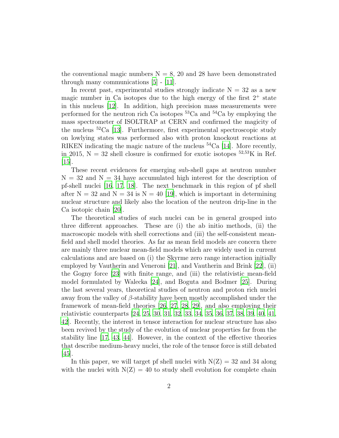the conventional magic numbers  $N = 8$ , 20 and 28 have been demonstrated through many communications [\[5](#page-24-0)] - [\[11](#page-24-1)].

In recent past, experimental studies strongly indicate  $N = 32$  as a new magic number in Ca isotopes due to the high energy of the first  $2^+$  state in this nucleus [\[12\]](#page-24-2). In addition, high precision mass measurements were performed for the neutron rich Ca isotopes  ${}^{53}$ Ca and  ${}^{54}$ Ca by employing the mass spectrometer of ISOLTRAP at CERN and confirmed the magicity of the nucleus  ${}^{52}Ca$  [\[13\]](#page-24-3). Furthermore, first experimental spectroscopic study on lowlying states was performed also with proton knockout reactions at RIKEN indicating the magic nature of the nucleus  $54$ Ca [\[14\]](#page-24-4). More recently, in 2015,  $N = 32$  shell closure is confirmed for exotic isotopes <sup>52,53</sup>K in Ref.  $[15]$ .

These recent evidences for emerging sub-shell gaps at neutron number  $N = 32$  and  $N = 34$  have accumulated high interest for the description of pf-shell nuclei [\[16](#page-24-6), [17](#page-24-7), [18\]](#page-24-8). The next benchmark in this region of pf shell after  $N = 32$  and  $N = 34$  is  $N = 40$  [\[19](#page-24-9)], which is important in determining nuclear structure and likely also the location of the neutron drip-line in the Ca isotopic chain [\[20\]](#page-24-10).

The theoretical studies of such nuclei can be in general grouped into three different approaches. These are (i) the ab initio methods, (ii) the macroscopic models with shell corrections and (iii) the self-consistent meanfield and shell model theories. As far as mean field models are concern there are mainly three nuclear mean-field models which are widely used in current calculations and are based on (i) the Skyrme zero range interaction initially employed by Vautherin and Veneroni [\[21\]](#page-24-11), and Vautherin and Brink [\[22\]](#page-24-12), (ii) the Gogny force [\[23\]](#page-24-13) with finite range, and (iii) the relativistic mean-field model formulated by Walecka [\[24](#page-24-14)], and Boguta and Bodmer [\[25\]](#page-24-15). During the last several years, theoretical studies of neutron and proton rich nuclei away from the valley of  $\beta$ -stability have been mostly accomplished under the framework of mean-field theories [\[26](#page-25-0), [27,](#page-25-1) [28,](#page-25-2) [29](#page-25-3)], and also employing their relativistic counterparts [\[24](#page-24-14), [25](#page-24-15), [30](#page-25-4), [31,](#page-25-5) [32,](#page-25-6) [33,](#page-25-7) [34](#page-25-8), [35](#page-25-9), [36,](#page-25-10) [37,](#page-25-11) [38,](#page-25-12) [39,](#page-25-13) [40](#page-25-14), [41](#page-25-15), [42\]](#page-26-0). Recently, the interest in tensor interaction for nuclear structure has also been revived by the study of the evolution of nuclear properties far from the stability line [\[17](#page-24-7), [43,](#page-26-1) [44\]](#page-26-2). However, in the context of the effective theories that describe medium-heavy nuclei, the role of the tensor force is still debated [\[45\]](#page-26-3).

In this paper, we will target pf shell nuclei with  $N(Z) = 32$  and 34 along with the nuclei with  $N(Z) = 40$  to study shell evolution for complete chain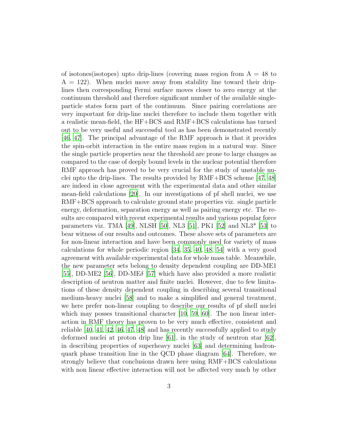of isotones(isotopes) upto drip-lines (covering mass region from  $A = 48$  to  $A = 122$ . When nuclei move away from stability line toward their driplines then corresponding Fermi surface moves closer to zero energy at the continuum threshold and therefore significant number of the available singleparticle states form part of the continuum. Since pairing correlations are very important for drip-line nuclei therefore to include them together with a realistic mean-field, the HF+BCS and RMF+BCS calculations has turned out to be very useful and successful tool as has been demonstrated recently [\[46,](#page-26-4) [47](#page-26-5)]. The principal advantage of the RMF approach is that it provides the spin-orbit interaction in the entire mass region in a natural way. Since the single particle properties near the threshold are prone to large changes as compared to the case of deeply bound levels in the nuclear potential therefore RMF approach has proved to be very crucial for the study of unstable nuclei upto the drip-lines. The results provided by  $RMF+BCS$  scheme  $|47, 48|$  $|47, 48|$  $|47, 48|$ are indeed in close agreement with the experimental data and other similar mean-field calculations [\[20\]](#page-24-10). In our investigations of pf shell nuclei, we use RMF+BCS approach to calculate ground state properties viz. single particle energy, deformation, separation energy as well as pairing energy etc. The results are compared with recent experimental results and various popular force parameters viz. TMA [\[49](#page-26-7)], NLSH [\[50\]](#page-26-8), NL3 [\[51](#page-26-9)], PK1 [\[52](#page-26-10)] and NL3\* [\[53\]](#page-26-11) to bear witness of our results and outcomes. These above sets of parameters are for non-linear interaction and have been commonly used for variety of mass calculations for whole periodic region [\[34](#page-25-8), [35,](#page-25-9) [40](#page-25-14), [48,](#page-26-6) [54\]](#page-26-12) with a very good agreement with available experimental data for whole mass table. Meanwhile, the new parameter sets belong to density dependent coupling are DD-ME1 [\[55\]](#page-26-13), DD-ME2 [\[56](#page-26-14)], DD-ME $\delta$  [\[57\]](#page-27-0) which have also provided a more realistic description of neutron matter and finite nuclei. However, due to few limitations of these density dependent coupling in describing several transitional medium-heavy nuclei [\[58](#page-27-1)] and to make a simplified and general treatment, we here prefer non-linear coupling to describe our results of pf shell nuclei which may posses transitional character [\[10](#page-24-16), [59,](#page-27-2) [60\]](#page-27-3). The non linear interaction in RMF theory has proven to be very much effective, consistent and reliable [\[40,](#page-25-14) [41](#page-25-15), [42,](#page-26-0) [46](#page-26-4), [47](#page-26-5), [48\]](#page-26-6) and has recently successfully applied to study deformed nuclei at proton drip line  $[61]$ , in the study of neutron star  $[62]$ , in describing properties of superheavy nuclei [\[63\]](#page-27-6) and determining hadronquark phase transition line in the QCD phase diagram [\[64](#page-27-7)]. Therefore, we strongly believe that conclusions drawn here using RMF+BCS calculations with non linear effective interaction will not be affected very much by other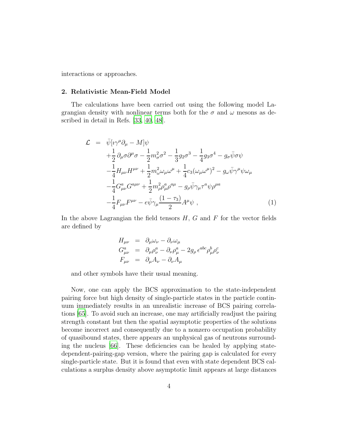interactions or approaches.

#### 2. Relativistic Mean-Field Model

The calculations have been carried out using the following model Lagrangian density with nonlinear terms both for the  $\sigma$  and  $\omega$  mesons as described in detail in Refs. [\[33,](#page-25-7) [40,](#page-25-14) [48\]](#page-26-6).

$$
\mathcal{L} = \bar{\psi} [\imath \gamma^{\mu} \partial_{\mu} - M] \psi \n+ \frac{1}{2} \partial_{\mu} \sigma \partial^{\mu} \sigma - \frac{1}{2} m_{\sigma}^{2} \sigma^{2} - \frac{1}{3} g_{2} \sigma^{3} - \frac{1}{4} g_{3} \sigma^{4} - g_{\sigma} \bar{\psi} \sigma \psi \n- \frac{1}{4} H_{\mu\nu} H^{\mu\nu} + \frac{1}{2} m_{\omega}^{2} \omega_{\mu} \omega^{\mu} + \frac{1}{4} c_{3} (\omega_{\mu} \omega^{\mu})^{2} - g_{\omega} \bar{\psi} \gamma^{\mu} \psi \omega_{\mu} \n- \frac{1}{4} G_{\mu\nu}^{a} G^{a\mu\nu} + \frac{1}{2} m_{\rho}^{2} \rho_{\mu}^{a} \rho^{a\mu} - g_{\rho} \bar{\psi} \gamma_{\mu} \tau^{a} \psi \rho^{\mu a} \n- \frac{1}{4} F_{\mu\nu} F^{\mu\nu} - e \bar{\psi} \gamma_{\mu} \frac{(1 - \tau_{3})}{2} A^{\mu} \psi ,
$$
\n(1)

In the above Lagrangian the field tensors  $H, G$  and  $F$  for the vector fields are defined by

$$
H_{\mu\nu} = \partial_{\mu}\omega_{\nu} - \partial_{\nu}\omega_{\mu}
$$
  
\n
$$
G_{\mu\nu}^{a} = \partial_{\mu}\rho_{\nu}^{a} - \partial_{\nu}\rho_{\mu}^{a} - 2g_{\rho}\epsilon^{abc}\rho_{\mu}^{b}\rho_{\nu}^{c}
$$
  
\n
$$
F_{\mu\nu} = \partial_{\mu}A_{\nu} - \partial_{\nu}A_{\mu}
$$

and other symbols have their usual meaning.

Now, one can apply the BCS approximation to the state-independent pairing force but high density of single-particle states in the particle continuum immediately results in an unrealistic increase of BCS pairing correlations [\[65\]](#page-27-8). To avoid such an increase, one may artificially readjust the pairing strength constant but then the spatial asymptotic properties of the solutions become incorrect and consequently due to a nonzero occupation probability of quasibound states, there appears an unphysical gas of neutrons surrounding the nucleus [\[66](#page-27-9)]. These deficiencies can be healed by applying statedependent-pairing-gap version, where the pairing gap is calculated for every single-particle state. But it is found that even with state dependent BCS calculations a surplus density above asymptotic limit appears at large distances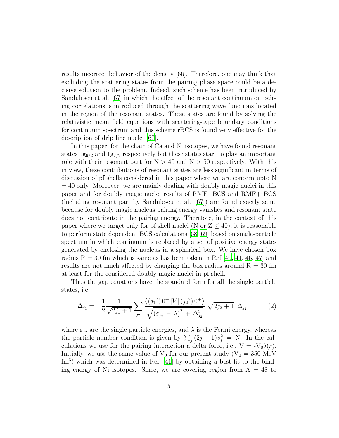results incorrect behavior of the density [\[66\]](#page-27-9). Therefore, one may think that excluding the scattering states from the pairing phase space could be a decisive solution to the problem. Indeed, such scheme has been introduced by Sandulescu et al. [\[67](#page-27-10)] in which the effect of the resonant continuum on pairing correlations is introduced through the scattering wave functions located in the region of the resonant states. These states are found by solving the relativistic mean field equations with scattering-type boundary conditions for continuum spectrum and this scheme rBCS is found very effective for the description of drip line nuclei [\[67](#page-27-10)].

In this paper, for the chain of Ca and Ni isotopes, we have found resonant states  $1g_{9/2}$  and  $1g_{7/2}$  respectively but these states start to play an important role with their resonant part for  $N > 40$  and  $N > 50$  respectively. With this in view, these contributions of resonant states are less significant in terms of discussion of pf shells considered in this paper where we are concern upto N  $= 40$  only. Moreover, we are mainly dealing with doubly magic nuclei in this paper and for doubly magic nuclei results of RMF+BCS and RMF+rBCS (including resonant part by Sandulescu et al. [\[67](#page-27-10)]) are found exactly same because for doubly magic nucleus pairing energy vanishes and resonant state does not contribute in the pairing energy. Therefore, in the context of this paper where we target only for pf shell nuclei (N or  $Z \leq 40$ ), it is reasonable to perform state dependent BCS calculations [\[68](#page-27-11), [69\]](#page-27-12) based on single-particle spectrum in which continuum is replaced by a set of positive energy states generated by enclosing the nucleus in a spherical box. We have chosen box radius  $R = 30$  fm which is same as has been taken in Ref [\[40](#page-25-14), [41,](#page-25-15) [46](#page-26-4), [47\]](#page-26-5) and results are not much affected by changing the box radius around  $R = 30$  fm at least for the considered doubly magic nuclei in pf shell.

Thus the gap equations have the standard form for all the single particle states, i.e.

$$
\Delta_{j_1} = -\frac{1}{2} \frac{1}{\sqrt{2j_1 + 1}} \sum_{j_2} \frac{\left\langle (j_1^2) 0^+ |V| (j_2^2) 0^+ \right\rangle}{\sqrt{\left(\varepsilon_{j_2} - \lambda\right)^2 + \Delta_{j_2}^2}} \sqrt{2j_2 + 1} \ \Delta_{j_2} \tag{2}
$$

where  $\varepsilon_{j_2}$  are the single particle energies, and  $\lambda$  is the Fermi energy, whereas the particle number condition is given by  $\sum_j (2j+1)v_j^2 = N$ . In the calculations we use for the pairing interaction a delta force, i.e.,  $V = -V_0 \delta(r)$ . Initially, we use the same value of  $V_0$  for our present study  $(V_0 = 350 \text{ MeV})$ fm<sup>3</sup>) which was determined in Ref. [\[41\]](#page-25-15) by obtaining a best fit to the binding energy of Ni isotopes. Since, we are covering region from  $A = 48$  to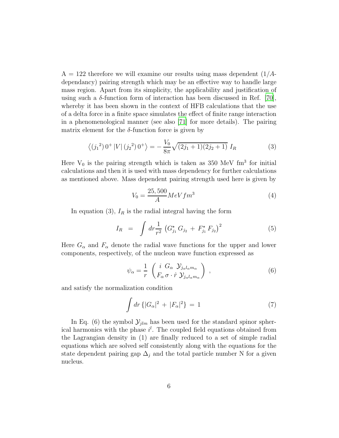$A = 122$  therefore we will examine our results using mass dependent  $(1/A$ dependancy) pairing strength which may be an effective way to handle large mass region. Apart from its simplicity, the applicability and justification of using such a  $\delta$ -function form of interaction has been discussed in Ref. [\[70\]](#page-27-13), whereby it has been shown in the context of HFB calculations that the use of a delta force in a finite space simulates the effect of finite range interaction in a phenomenological manner (see also [\[71\]](#page-27-14) for more details). The pairing matrix element for the  $\delta$ -function force is given by

$$
\langle (j_1^2) 0^+ |V| (j_2^2) 0^+ \rangle = -\frac{V_0}{8\pi} \sqrt{(2j_1 + 1)(2j_2 + 1)} I_R
$$
 (3)

Here  $V_0$  is the pairing strength which is taken as 350 MeV fm<sup>3</sup> for initial calculations and then it is used with mass dependency for further calculations as mentioned above. Mass dependent pairing strength used here is given by

$$
V_0 = \frac{25,500}{A} MeV fm^3
$$
 (4)

In equation (3),  $I_R$  is the radial integral having the form

$$
I_R = \int dr \frac{1}{r^2} \left( G_{j_1}^* G_{j_2} + F_{j_1}^* F_{j_2} \right)^2 \tag{5}
$$

Here  $G_{\alpha}$  and  $F_{\alpha}$  denote the radial wave functions for the upper and lower components, respectively, of the nucleon wave function expressed as

$$
\psi_{\alpha} = \frac{1}{r} \begin{pmatrix} i & G_{\alpha} & \mathcal{Y}_{j_{\alpha l_{\alpha} m_{\alpha}}} \\ F_{\alpha} & \sigma \cdot \hat{r} & \mathcal{Y}_{j_{\alpha l_{\alpha} m_{\alpha}}} \end{pmatrix} \,, \tag{6}
$$

and satisfy the normalization condition

$$
\int dr \left\{ |G_{\alpha}|^2 + |F_{\alpha}|^2 \right\} = 1 \tag{7}
$$

In Eq. (6) the symbol  $\mathcal{Y}_{jlm}$  has been used for the standard spinor spherical harmonics with the phase  $i^l$ . The coupled field equations obtained from the Lagrangian density in (1) are finally reduced to a set of simple radial equations which are solved self consistently along with the equations for the state dependent pairing gap  $\Delta_i$  and the total particle number N for a given nucleus.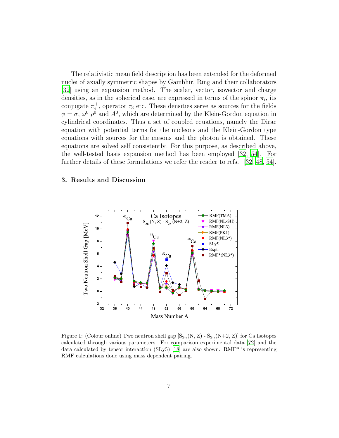The relativistic mean field description has been extended for the deformed nuclei of axially symmetric shapes by Gambhir, Ring and their collaborators [\[32\]](#page-25-6) using an expansion method. The scalar, vector, isovector and charge densities, as in the spherical case, are expressed in terms of the spinor  $\pi_i$ , its conjugate  $\pi_i^+$ <sup>+</sup>, operator  $\tau_3$  etc. These densities serve as sources for the fields  $\phi = \sigma$ ,  $\omega^0$   $\rho^0$  and  $A^0$ , which are determined by the Klein-Gordon equation in cylindrical coordinates. Thus a set of coupled equations, namely the Dirac equation with potential terms for the nucleons and the Klein-Gordon type equations with sources for the mesons and the photon is obtained. These equations are solved self consistently. For this purpose, as described above, the well-tested basis expansion method has been employed [\[32,](#page-25-6) [54](#page-26-12)]. For further details of these formulations we refer the reader to refs. [\[32,](#page-25-6) [48](#page-26-6), [54\]](#page-26-12).

## 3. Results and Discussion



Figure 1: (Colour online) Two neutron shell gap  $[S_{2n}(N, Z) - S_{2n}(N+2, Z)]$  for Ca Isotopes calculated through various parameters. For comparison experimental data [\[72\]](#page-27-15) and the data calculated by tensor interaction  $(SLy5)$  [\[18\]](#page-24-8) are also shown. RMF\* is representing RMF calculations done using mass dependent pairing.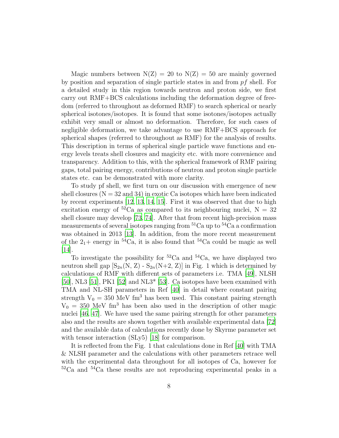Magic numbers between  $N(Z) = 20$  to  $N(Z) = 50$  are mainly governed by position and separation of single particle states in and from pf shell. For a detailed study in this region towards neutron and proton side, we first carry out RMF+BCS calculations including the deformation degree of freedom (referred to throughout as deformed RMF) to search spherical or nearly spherical isotones/isotopes. It is found that some isotones/isotopes actually exhibit very small or almost no deformation. Therefore, for such cases of negligible deformation, we take advantage to use RMF+BCS approach for spherical shapes (referred to throughout as RMF) for the analysis of results. This description in terms of spherical single particle wave functions and energy levels treats shell closures and magicity etc. with more convenience and transparency. Addition to this, with the spherical framework of RMF pairing gaps, total pairing energy, contributions of neutron and proton single particle states etc. can be demonstrated with more clarity.

To study pf shell, we first turn on our discussion with emergence of new shell closures ( $N = 32$  and  $34$ ) in exotic Ca isotopes which have been indicated by recent experiments [\[12,](#page-24-2) [13](#page-24-3), [14,](#page-24-4) [15](#page-24-5)]. First it was observed that due to high excitation energy of  ${}^{52}$ Ca as compared to its neighbouring nuclei, N = 32 shell closure may develop [\[73,](#page-27-16) [74\]](#page-28-0). After that from recent high-precision mass measurements of several isotopes ranging from  ${}^{51}$ Ca up to  ${}^{54}$ Ca a confirmation was obtained in 2013 [\[13\]](#page-24-3). In addition, from the more recent measurement of the  $2_1$ + energy in <sup>54</sup>Ca, it is also found that <sup>54</sup>Ca could be magic as well [\[14\]](#page-24-4).

To investigate the possibility for  ${}^{52}$ Ca and  ${}^{54}$ Ca, we have displayed two neutron shell gap  $[S_{2n}(N, Z) - S_{2n}(N+2, Z)]$  in Fig. 1 which is determined by calculations of RMF with different sets of parameters i.e. TMA [\[49](#page-26-7)], NLSH [\[50\]](#page-26-8), NL3 [\[51](#page-26-9)], PK1 [\[52\]](#page-26-10) and NL3\* [\[53\]](#page-26-11). Ca isotopes have been examined with TMA and NL-SH parameters in Ref [\[40\]](#page-25-14) in detail where constant pairing strength  $V_0 = 350$  MeV fm<sup>3</sup> has been used. This constant pairing strength  $V_0 = 350$  MeV fm<sup>3</sup> has been also used in the description of other magic nuclei [\[46,](#page-26-4) [47](#page-26-5)]. We have used the same pairing strength for other parameters also and the results are shown together with available experimental data [\[72](#page-27-15)] and the available data of calculations recently done by Skyrme parameter set with tensor interaction (SLy5) [\[18](#page-24-8)] for comparison.

It is reflected from the Fig. 1 that calculations done in Ref [\[40](#page-25-14)] with TMA & NLSH parameter and the calculations with other parameters retrace well with the experimental data throughout for all isotopes of Ca, however for  $52^{\circ}$ Ca and  $54^{\circ}$ Ca these results are not reproducing experimental peaks in a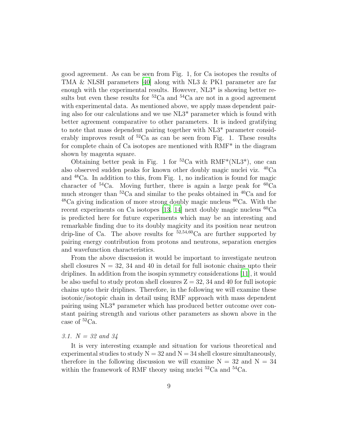good agreement. As can be seen from Fig. 1, for Ca isotopes the results of TMA & NLSH parameters [\[40\]](#page-25-14) along with NL3 & PK1 parameter are far enough with the experimental results. However, NL3\* is showing better results but even these results for  ${}^{52}Ca$  and  ${}^{54}Ca$  are not in a good agreement with experimental data. As mentioned above, we apply mass dependent pairing also for our calculations and we use NL3\* parameter which is found with better agreement comparative to other parameters. It is indeed gratifying to note that mass dependent pairing together with NL3\* parameter considerably improves result of  ${}^{52}Ca$  as can be seen from Fig. 1. These results for complete chain of Ca isotopes are mentioned with RMF\* in the diagram shown by magenta square.

Obtaining better peak in Fig. 1 for  ${}^{52}Ca$  with RMF\*(NL3<sup>\*</sup>), one can also observed sudden peaks for known other doubly magic nuclei viz. <sup>40</sup>Ca and <sup>48</sup>Ca. In addition to this, from Fig. 1, no indication is found for magic character of  ${}^{54}$ Ca. Moving further, there is again a large peak for  ${}^{60}$ Ca much stronger than <sup>52</sup>Ca and similar to the peaks obtained in <sup>40</sup>Ca and for  $^{48}$ Ca giving indication of more strong doubly magic nucleus  $^{60}$ Ca. With the recent experiments on Ca isotopes [\[13](#page-24-3), [14\]](#page-24-4) next doubly magic nucleus  ${}^{60}Ca$ is predicted here for future experiments which may be an interesting and remarkable finding due to its doubly magicity and its position near neutron drip-line of Ca. The above results for  $52,54,60$ Ca are further supported by pairing energy contribution from protons and neutrons, separation energies and wavefunction characteristics.

From the above discussion it would be important to investigate neutron shell closures  $N = 32, 34$  and 40 in detail for full isotonic chains upto their driplines. In addition from the isospin symmetry considerations [\[11\]](#page-24-1), it would be also useful to study proton shell closures  $Z = 32, 34$  and 40 for full isotopic chains upto their driplines. Therefore, in the following we will examine these isotonic/isotopic chain in detail using RMF approach with mass dependent pairing using NL3\* parameter which has produced better outcome over constant pairing strength and various other parameters as shown above in the case of <sup>52</sup>Ca.

#### *3.1. N = 32 and 34*

It is very interesting example and situation for various theoretical and experimental studies to study  $N = 32$  and  $N = 34$  shell closure simultaneously, therefore in the following discussion we will examine  $N = 32$  and  $N = 34$ within the framework of RMF theory using nuclei  ${}^{52}Ca$  and  ${}^{54}Ca$ .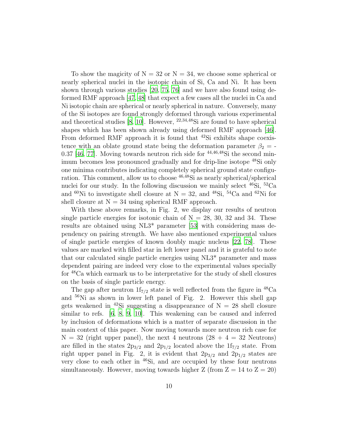To show the magicity of  $N = 32$  or  $N = 34$ , we choose some spherical or nearly spherical nuclei in the isotopic chain of Si, Ca and Ni. It has been shown through various studies [\[20,](#page-24-10) [75,](#page-28-1) [76\]](#page-28-2) and we have also found using deformed RMF approach [\[47](#page-26-5), [48\]](#page-26-6) that expect a few cases all the nuclei in Ca and Ni isotopic chain are spherical or nearly spherical in nature. Conversely, many of the Si isotopes are found strongly deformed through various experimental and theoretical studies  $[8, 10]$  $[8, 10]$ . However,  $^{22,34,48}$ Si are found to have spherical shapes which has been shown already using deformed RMF approach [\[46\]](#page-26-4). From deformed RMF approach it is found that <sup>42</sup>Si exhibits shape coexistence with an oblate ground state being the deformation parameter  $\beta_2$  = -0.37 [\[46](#page-26-4), [77](#page-28-3)]. Moving towards neutron rich side for  $44,46,48$ Si the second minimum becomes less pronounced gradually and for drip-line isotope <sup>48</sup>Si only one minima contributes indicating completely spherical ground state configuration. This comment, allow us to choose <sup>46</sup>,<sup>48</sup>Si as nearly spherical/spherical nuclei for our study. In the following discussion we mainly select  $^{46}Si$ ,  $^{52}Ca$ and <sup>60</sup>Ni to investigate shell closure at  $N = 32$ , and <sup>48</sup>Si, <sup>54</sup>Ca and <sup>62</sup>Ni for shell closure at  $N = 34$  using spherical RMF approach.

With these above remarks, in Fig. 2, we display our results of neutron single particle energies for isotonic chain of  $N = 28, 30, 32,$  and 34. These results are obtained using NL3\* parameter [\[53\]](#page-26-11) with considering mass dependency on pairing strength. We have also mentioned experimental values of single particle energies of known doubly magic nucleus [\[22,](#page-24-12) [78\]](#page-28-4). These values are marked with filled star in left lower panel and it is grateful to note that our calculated single particle energies using NL3\* parameter and mass dependent pairing are indeed very close to the experimental values specially for <sup>48</sup>Ca which earmark us to be interpretative for the study of shell closures on the basis of single particle energy.

The gap after neutron  $1f_{7/2}$  state is well reflected from the figure in <sup>48</sup>Ca and <sup>56</sup>Ni as shown in lower left panel of Fig. 2. However this shell gap gets weakened in <sup>42</sup>Si suggesting a disappearance of  $N = 28$  shell closure similar to refs. [\[6](#page-24-18), [8](#page-24-17), [9,](#page-24-19) [10\]](#page-24-16). This weakening can be caused and inferred by inclusion of deformations which is a matter of separate discussion in the main context of this paper. Now moving towards more neutron rich case for  $N = 32$  (right upper panel), the next 4 neutrons  $(28 + 4 = 32$  Neutrons) are filled in the states  $2p_{3/2}$  and  $2p_{1/2}$  located above the  $1f_{7/2}$  state. From right upper panel in Fig. 2, it is evident that  $2p_{3/2}$  and  $2p_{1/2}$  states are very close to each other in <sup>46</sup>Si, and are occupied by these four neutrons simultaneously. However, moving towards higher Z (from  $Z = 14$  to  $Z = 20$ )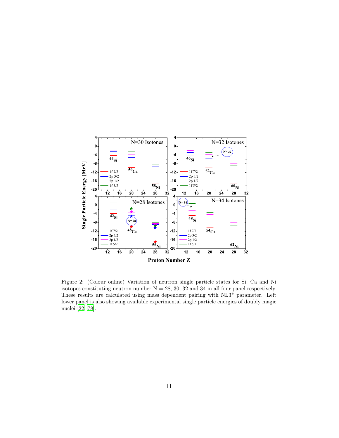

Figure 2: (Colour online) Variation of neutron single particle states for Si, Ca and Ni isotopes constituting neutron number  $N = 28, 30, 32$  and 34 in all four panel respectively. These results are calculated using mass dependent pairing with NL3\* parameter. Left lower panel is also showing available experimental single particle energies of doubly magic nuclei [\[22](#page-24-12), [78](#page-28-4)].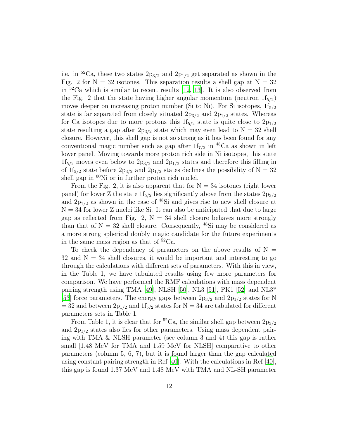i.e. in <sup>52</sup>Ca, these two states  $2p_{3/2}$  and  $2p_{1/2}$  get separated as shown in the Fig. 2 for  $N = 32$  isotones. This separation results a shell gap at  $N = 32$ in  ${}^{52}Ca$  which is similar to recent results [\[12,](#page-24-2) [13\]](#page-24-3). It is also observed from the Fig. 2 that the state having higher angular momentum (neutron  $1f_{5/2}$ ) moves deeper on increasing proton number (Si to Ni). For Si isotopes,  $1f_{5/2}$ state is far separated from closely situated  $2p_{3/2}$  and  $2p_{1/2}$  states. Whereas for Ca isotopes due to more protons this  $1f_{5/2}$  state is quite close to  $2p_{1/2}$ state resulting a gap after  $2p_{3/2}$  state which may even lead to  $N = 32$  shell closure. However, this shell gap is not so strong as it has been found for any conventional magic number such as gap after  $1f_{7/2}$  in  $48$ Ca as shown in left lower panel. Moving towards more proton rich side in Ni isotopes, this state  $1f_{5/2}$  moves even below to  $2p_{3/2}$  and  $2p_{1/2}$  states and therefore this filling in of  $1f_{5/2}$  state before  $2p_{3/2}$  and  $2p_{1/2}$  states declines the possibility of  $N = 32$ shell gap in  ${}^{60}$ Ni or in further proton rich nuclei.

From the Fig. 2, it is also apparent that for  $N = 34$  isotones (right lower panel) for lower Z the state  $1f_{5/2}$  lies significantly above from the states  $2p_{3/2}$ and  $2p_{1/2}$  as shown in the case of <sup>48</sup>Si and gives rise to new shell closure at  $N = 34$  for lower Z nuclei like Si. It can also be anticipated that due to large gap as reflected from Fig. 2,  $N = 34$  shell closure behaves more strongly than that of  $N = 32$  shell closure. Consequently, <sup>48</sup>Si may be considered as a more strong spherical doubly magic candidate for the future experiments in the same mass region as that of  ${}^{52}Ca$ .

To check the dependency of parameters on the above results of  $N =$ 32 and  $N = 34$  shell closures, it would be important and interesting to go through the calculations with different sets of parameters. With this in view, in the Table 1, we have tabulated results using few more parameters for comparison. We have performed the RMF calculations with mass dependent pairing strength using TMA [\[49](#page-26-7)], NLSH [\[50\]](#page-26-8), NL3 [\[51](#page-26-9)], PK1 [\[52](#page-26-10)] and  $NL3^*$ [\[53\]](#page-26-11) force parameters. The energy gaps between  $2p_{3/2}$  and  $2p_{1/2}$  states for N  $= 32$  and between  $2p_{1/2}$  and  $1f_{5/2}$  states for  $N = 34$  are tabulated for different parameters sets in Table 1.

From Table 1, it is clear that for  ${}^{52}Ca$ , the similar shell gap between  $2p_{3/2}$ and  $2p_{1/2}$  states also lies for other parameters. Using mass dependent pairing with TMA  $& NLSH$  parameter (see column 3 and 4) this gap is rather small [1.48 MeV for TMA and 1.59 MeV for NLSH] comparative to other parameters (column 5, 6, 7), but it is found larger than the gap calculated using constant pairing strength in Ref [\[40\]](#page-25-14). With the calculations in Ref [\[40\]](#page-25-14), this gap is found 1.37 MeV and 1.48 MeV with TMA and NL-SH parameter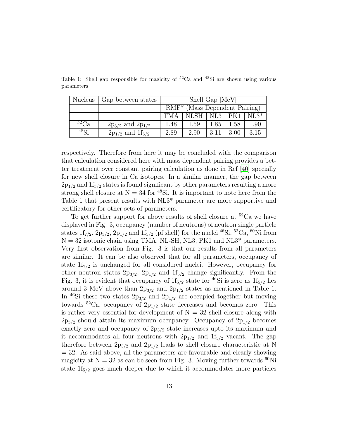|             | Nucleus   Gap between states | Shell Gap [MeV]                           |                                             |      |      |      |  |  |  |
|-------------|------------------------------|-------------------------------------------|---------------------------------------------|------|------|------|--|--|--|
|             |                              | RMF <sup>*</sup> (Mass Dependent Pairing) |                                             |      |      |      |  |  |  |
|             |                              |                                           | $TMA$   NLSH   NL3   PK1   NL3 <sup>*</sup> |      |      |      |  |  |  |
| ${}^{52}Ca$ | $2p_{3/2}$ and $2p_{1/2}$    | 1.48                                      | 1.59                                        | 1.85 | 1.58 | 1.90 |  |  |  |
| $^{48}$ Si  | $2p_{1/2}$ and $1f_{5/2}$    | 2.89                                      | 2.90                                        | 3.11 | 3.00 | 3.15 |  |  |  |

Table 1: Shell gap responsible for magicity of  ${}^{52}$ Ca and  ${}^{48}$ Si are shown using various parameters

respectively. Therefore from here it may be concluded with the comparison that calculation considered here with mass dependent pairing provides a better treatment over constant pairing calculation as done in Ref [\[40](#page-25-14)] specially for new shell closure in Ca isotopes. In a similar manner, the gap between  $2p_{1/2}$  and  $1f_{5/2}$  states is found significant by other parameters resulting a more strong shell closure at  $N = 34$  for <sup>48</sup>Si. It is important to note here from the Table 1 that present results with NL3\* parameter are more supportive and certificatory for other sets of parameters.

To get further support for above results of shell closure at  ${}^{52}Ca$  we have displayed in Fig. 3, occupancy (number of neutrons) of neutron single particle states  $1f_{7/2}$ ,  $2p_{3/2}$ ,  $2p_{1/2}$  and  $1f_{5/2}$  (pf shell) for the nuclei <sup>46</sup>Si, <sup>52</sup>Ca, <sup>60</sup>Ni from  $N = 32$  isotonic chain using TMA, NL-SH, NL3, PK1 and NL3<sup>\*</sup> parameters. Very first observation from Fig. 3 is that our results from all parameters are similar. It can be also observed that for all parameters, occupancy of state  $1f_{7/2}$  is unchanged for all considered nuclei. However, occupancy for other neutron states  $2p_{3/2}$ ,  $2p_{1/2}$  and  $1f_{5/2}$  change significantly. From the Fig. 3, it is evident that occupancy of  $1f_{5/2}$  state for <sup>46</sup>Si is zero as  $1f_{5/2}$  lies around 3 MeV above than  $2p_{3/2}$  and  $2p_{1/2}$  states as mentioned in Table 1. In <sup>46</sup>Si these two states  $2p_{3/2}$  and  $2p_{1/2}$  are occupied together but moving towards <sup>52</sup>Ca, occupancy of  $2p_{1/2}$  state decreases and becomes zero. This is rather very essential for development of  $N = 32$  shell closure along with  $2p_{3/2}$  should attain its maximum occupancy. Occupancy of  $2p_{1/2}$  becomes exactly zero and occupancy of  $2p_{3/2}$  state increases upto its maximum and it accommodates all four neutrons with  $2p_{1/2}$  and  $1f_{5/2}$  vacant. The gap therefore between  $2p_{3/2}$  and  $2p_{1/2}$  leads to shell closure characteristic at N  $=$  32. As said above, all the parameters are favourable and clearly showing magicity at  $N = 32$  as can be seen from Fig. 3. Moving further towards <sup>60</sup>Ni state  $1f_{5/2}$  goes much deeper due to which it accommodates more particles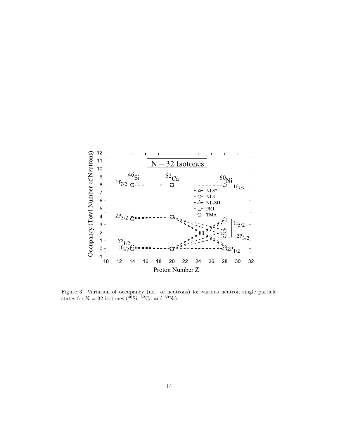

Figure 3: Variation of occupancy (no. of neutrons) for various neutron single particle states for  $N = 32$  isotones  $(^{46}Si, ^{52}Ca$  and  $^{60}Ni)$ .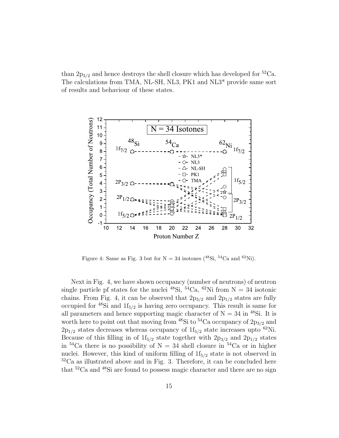than  $2p_{3/2}$  and hence destroys the shell closure which has developed for <sup>52</sup>Ca. The calculations from TMA, NL-SH, NL3, PK1 and NL3\* provide same sort of results and behaviour of these states.



Figure 4: Same as Fig. 3 but for  $N = 34$  isotones  $(^{48}Si, ^{54}Ca$  and  $^{62}Ni)$ .

Next in Fig. 4, we have shown occupancy (number of neutrons) of neutron single particle pf states for the nuclei  $^{48}Si$ ,  $^{54}Ca$ ,  $^{62}Ni$  from N = 34 isotonic chains. From Fig. 4, it can be observed that  $2p_{3/2}$  and  $2p_{1/2}$  states are fully occupied for  $48\$ Si and  $1f_{5/2}$  is having zero occupancy. This result is same for all parameters and hence supporting magic character of  $N = 34$  in <sup>48</sup>Si. It is worth here to point out that moving from  $^{48}Si$  to  $^{54}Ca$  occupancy of  $2p_{3/2}$  and  $2p_{1/2}$  states decreases whereas occupancy of  $1f_{5/2}$  state increases upto <sup>62</sup>Ni. Because of this filling in of  $1f_{5/2}$  state together with  $2p_{3/2}$  and  $2p_{1/2}$  states in <sup>54</sup>Ca there is no possibility of  $N = 34$  shell closure in <sup>54</sup>Ca or in higher nuclei. However, this kind of uniform filling of  $1f_{5/2}$  state is not observed in  $52Ca$  as illustrated above and in Fig. 3. Therefore, it can be concluded here that <sup>52</sup>Ca and <sup>48</sup>Si are found to possess magic character and there are no sign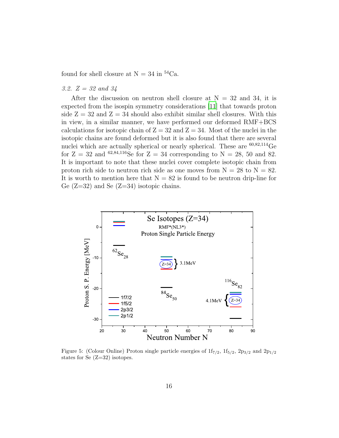found for shell closure at  $N = 34$  in <sup>54</sup>Ca.

#### *3.2. Z = 32 and 34*

After the discussion on neutron shell closure at  $N = 32$  and 34, it is expected from the isospin symmetry considerations [\[11](#page-24-1)] that towards proton side  $Z = 32$  and  $Z = 34$  should also exhibit similar shell closures. With this in view, in a similar manner, we have performed our deformed RMF+BCS calculations for isotopic chain of  $Z = 32$  and  $Z = 34$ . Most of the nuclei in the isotopic chains are found deformed but it is also found that there are several nuclei which are actually spherical or nearly spherical. These are <sup>60</sup>,82,<sup>114</sup>Ge for  $Z = 32$  and <sup>62,84,116</sup>Se for  $Z = 34$  corresponding to  $N = 28, 50$  and 82. It is important to note that these nuclei cover complete isotopic chain from proton rich side to neutron rich side as one moves from  $N = 28$  to  $N = 82$ . It is worth to mention here that  $N = 82$  is found to be neutron drip-line for Ge  $(Z=32)$  and Se  $(Z=34)$  isotopic chains.



Figure 5: (Colour Online) Proton single particle energies of  $1f_{7/2}$ ,  $1f_{5/2}$ ,  $2p_{3/2}$  and  $2p_{1/2}$ states for Se (Z=32) isotopes.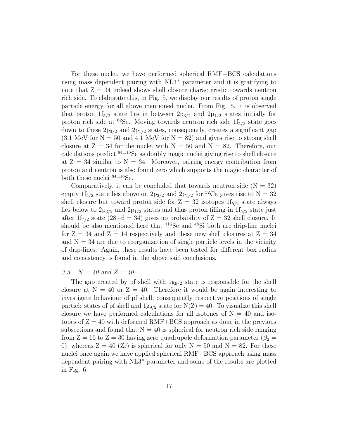For these nuclei, we have performed spherical RMF+BCS calculations using mass dependent pairing with NL3\* parameter and it is gratifying to note that  $Z = 34$  indeed shows shell closure characteristic towards neutron rich side. To elaborate this, in Fig. 5, we display our results of proton single particle energy for all above mentioned nuclei. From Fig. 5, it is observed that proton  $1f_{5/2}$  state lies in between  $2p_{3/2}$  and  $2p_{1/2}$  states initially for proton rich side at  ${}^{62}$ Se. Moving towards neutron rich side  $1f_{5/2}$  state goes down to these  $2p_{3/2}$  and  $2p_{1/2}$  states, consequently, creates a significant gap  $(3.1 \text{ MeV}$  for  $N = 50 \text{ and } 4.1 \text{ MeV}$  for  $N = 82$ ) and gives rise to strong shell closure at  $Z = 34$  for the nuclei with  $N = 50$  and  $N = 82$ . Therefore, our calculations predict <sup>84</sup>,<sup>116</sup>Se as doubly magic nuclei giving rise to shell closure at  $Z = 34$  similar to  $N = 34$ . Moreover, pairing energy contribution from proton and neutron is also found zero which supports the magic character of both these nuclei  $84,116$ Se.

Comparatively, it can be concluded that towards neutron side  $(N = 32)$ empty  $1f_{5/2}$  state lies above on  $2p_{3/2}$  and  $2p_{1/2}$  for <sup>52</sup>Ca gives rise to N = 32 shell closure but toward proton side for  $Z = 32$  isotopes  $1f_{5/2}$  state always lies below to  $2p_{3/2}$  and  $2p_{1/2}$  states and thus proton filling in  $1f_{5/2}$  state just after  $1f_{7/2}$  state (28+6 = 34) gives no probability of Z = 32 shell closure. It should be also mentioned here that <sup>116</sup>Se and <sup>48</sup>Si both are drip-line nuclei for  $Z = 34$  and  $Z = 14$  respectively and these new shell closures at  $Z = 34$ and  $N = 34$  are due to reorganization of single particle levels in the vicinity of drip-lines. Again, these results have been tested for different box radius and consistency is found in the above said conclusions.

#### *3.3. N = 40 and Z = 40*

The gap created by pf shell with  $1g_{9/2}$  state is responsible for the shell closure at  $N = 40$  or  $Z = 40$ . Therefore it would be again interesting to investigate behaviour of pf shell, consequently respective positions of single particle states of pf shell and  $1g_{9/2}$  state for  $N(Z) = 40$ . To visualize this shell closure we have performed calculations for all isotones of  $N = 40$  and isotopes of  $Z = 40$  with deformed RMF+BCS approach as done in the previous subsections and found that  $N = 40$  is spherical for neutron rich side ranging from  $Z = 16$  to  $Z = 30$  having zero quadrupole deformation parameter  $(\beta_2 =$ 0), whereas  $Z = 40$  (Zr) is spherical for only  $N = 50$  and  $N = 82$ . For these nuclei once again we have applied spherical RMF+BCS approach using mass dependent pairing with NL3\* parameter and some of the results are plotted in Fig. 6.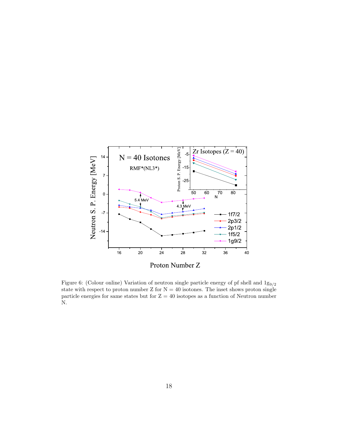

Figure 6: (Colour online) Variation of neutron single particle energy of pf shell and  $1g_{9/2}$ state with respect to proton number Z for  $N = 40$  isotones. The inset shows proton single particle energies for same states but for  $Z = 40$  isotopes as a function of Neutron number N.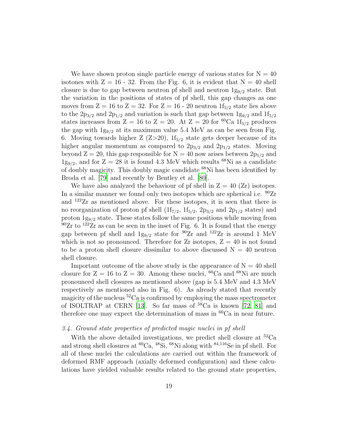We have shown proton single particle energy of various states for  $N = 40$ isotones with  $Z = 16 - 32$ . From the Fig. 6, it is evident that  $N = 40$  shell closure is due to gap between neutron pf shell and neutron  $1g_{9/2}$  state. But the variation in the positions of states of pf shell, this gap changes as one moves from  $Z = 16$  to  $Z = 32$ . For  $Z = 16$  - 20 neutron  $1f_{5/2}$  state lies above to the  $2p_{3/2}$  and  $2p_{1/2}$  and variation is such that gap between  $1g_{9/2}$  and  $1f_{5/2}$ states increases from  $Z = 16$  to  $Z = 20$ . At  $Z = 20$  for <sup>60</sup>Ca  $1f_{5/2}$  produces the gap with  $1g_{9/2}$  at its maximum value 5.4 MeV as can be seen from Fig. 6. Moving towards higher  $Z$  ( $Z>20$ ),  $1f_{5/2}$  state gets deeper because of its higher angular momentum as compared to  $2p_{3/2}$  and  $2p_{1/2}$  states. Moving beyond  $Z = 20$ , this gap responsible for  $N = 40$  now arises between  $2p_{1/2}$  and 1g<sub>9/2</sub>, and for  $Z = 28$  it is found 4.3 MeV which results <sup>68</sup>Ni as a candidate of doubly magicity. This doubly magic candidate  ${}^{68}$ Ni has been identified by Broda et al. [\[79](#page-28-5)] and recently by Bentley et al. [\[80\]](#page-28-6).

We have also analyzed the behaviour of pf shell in  $Z = 40$  (Zr) isotopes. In a similar manner we found only two isotopes which are spherical i.e.  $^{90}Zr$ and  $122$ Ir as mentioned above. For these isotopes, it is seen that there is no reorganization of proton pf shell  $(1f_{7/2}, 1f_{5/2}, 2p_{3/2}$  and  $2p_{1/2}$  states) and proton  $1g_{9/2}$  state. These states follow the same positions while moving from  $90Zr$  to  $122Zr$  as can be seen in the inset of Fig. 6. It is found that the energy gap between pf shell and  $1g_{9/2}$  state for  $90Zr$  and  $122Zr$  is around 1 MeV which is not so pronounced. Therefore for  $Zr$  isotopes,  $Z = 40$  is not found to be a proton shell closure dissimilar to above discussed  $N = 40$  neutron shell closure.

Important outcome of the above study is the appearance of  $N = 40$  shell closure for  $Z = 16$  to  $Z = 30$ . Among these nuclei, <sup>60</sup>Ca and <sup>68</sup>Ni are much pronounced shell closures as mentioned above (gap is 5.4 MeV and 4.3 MeV respectively as mentioned also in Fig. 6). As already stated that recently magicity of the nucleus  ${}^{52}$ Ca is confirmed by employing the mass spectrometer of ISOLTRAP at CERN [\[13](#page-24-3)]. So far mass of  $^{58}Ca$  is known [\[72,](#page-27-15) [81](#page-28-7)] and therefore one may expect the determination of mass in  ${}^{60}Ca$  in near future.

#### *3.4. Ground state properties of predicted magic nuclei in pf shell*

With the above detailed investigations, we predict shell closure at  ${}^{52}Ca$ and strong shell closures at  ${}^{60}Ca$ ,  ${}^{48}Si$ ,  ${}^{68}Ni$  along with  ${}^{84,116}Se$  in pf shell. For all of these nuclei the calculations are carried out within the framework of deformed RMF approach (axially deformed configuration) and these calculations have yielded valuable results related to the ground state properties,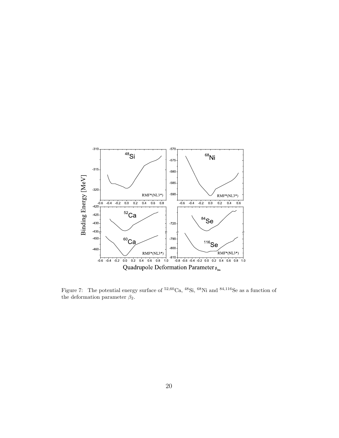

Figure 7: The potential energy surface of  ${}^{52,60}Ca$ ,  ${}^{48}Si$ ,  ${}^{68}Ni$  and  ${}^{84,116}Se$  as a function of the deformation parameter  $\beta_2$ .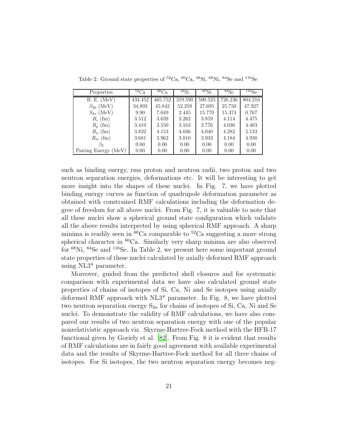| Properties           | ${}^{52}Ca$ | ${}^{60}Ca$ | $^{48}$ Si | $^{68}\mathrm{Ni}$ | ${}^{84}\text{Se}$ | $^{116}\text{Se}$ |
|----------------------|-------------|-------------|------------|--------------------|--------------------|-------------------|
| B. E. (MeV)          | 434.452     | 465.752     | 319.590    | 590.525            | 726.236            | 804.216           |
| $S_{2p}$ (MeV)       | 34.893      | 45.842      | 52.259     | 27.695             | 25.750             | 47.927            |
| $S_{2n}$ (MeV)       | 9.90        | 7.049       | 2.445      | 15.770             | 15.374             | 0.767             |
| $R_c$ (fm)           | 3.512       | 3.639       | 3.262      | 3.859              | 4.114              | 4.475             |
| $R_p$ (fm)           | 3.419       | 3.550       | 3.163      | 3.776              | 4.036              | 4.403             |
| $R_n$ (fm)           | 3.832       | 4.153       | 4.046      | 4.040              | 4.282              | 5.133             |
| $R_m$ (fm)           | 3.681       | 3.962       | 3.810      | 3.933              | 4.184              | 4.930             |
| $\beta_2$            | 0.00        | 0.00        | 0.00       | 0.00               | 0.00               | 0.00              |
| Pairing Energy (MeV) | 0.00        | 0.00        | 0.00       | 0.00               | 0.00               | 0.00              |

Table 2: Ground state properties of  ${}^{52}Ca, {}^{60}Ca, {}^{48}Si, {}^{68}Ni, {}^{84}Se$  and  ${}^{116}Se$ 

such as binding energy, rms proton and neutron radii, two proton and two neutron separation energies, deformations etc. It will be interesting to get more insight into the shapes of these nuclei. In Fig. 7, we have plotted binding energy curves as function of quadrupole deformation parameter as obtained with constrained RMF calculations including the deformation degree of freedom for all above nuclei. From Fig. 7, it is valuable to note that all these nuclei show a spherical ground state configuration which validate all the above results interpreted by using spherical RMF approach. A sharp minima is readily seen in  ${}^{60}Ca$  comparable to  ${}^{52}Ca$  suggesting a more strong spherical character in <sup>60</sup>Ca. Similarly very sharp minima are also observed for  $68\text{Ni}$ ,  $84\text{Se}$  and  $116\text{Se}$ . In Table 2, we present here some important ground state properties of these nuclei calculated by axially deformed RMF approach using NL3\* parameter.

Moreover, guided from the predicted shell closures and for systematic comparison with experimental data we have also calculated ground state properties of chains of isotopes of Si, Ca, Ni and Se isotopes using axially deformed RMF approach with NL3\* parameter. In Fig. 8, we have plotted two neutron separation energy  $S_{2n}$  for chains of isotopes of Si, Ca, Ni and Se nuclei. To demonstrate the validity of RMF calculations, we have also compared our results of two neutron separation energy with one of the popular nonrelativistic approach viz. Skyrme-Hartree-Fock method with the HFB-17 functional given by Goriely et al. [\[82\]](#page-28-8). From Fig. 8 it is evident that results of RMF calculations are in fairly good agreement with available experimental data and the results of Skyrme-Hartree-Fock method for all three chains of isotopes. For Si isotopes, the two neutron separation energy becomes neg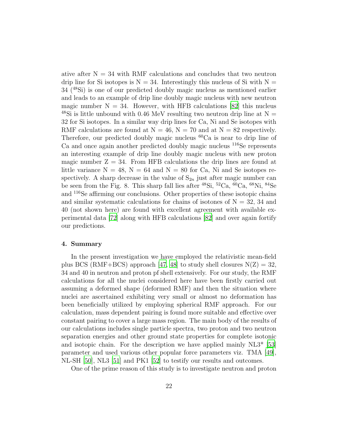ative after  $N = 34$  with RMF calculations and concludes that two neutron drip line for Si isotopes is  $N = 34$ . Interestingly this nucleus of Si with  $N =$ 34 (<sup>48</sup>Si) is one of our predicted doubly magic nucleus as mentioned earlier and leads to an example of drip line doubly magic nucleus with new neutron magic number  $N = 34$ . However, with HFB calculations [\[82\]](#page-28-8) this nucleus <sup>48</sup>Si is little unbound with 0.46 MeV resulting two neutron drip line at  $N =$ 32 for Si isotopes. In a similar way drip lines for Ca, Ni and Se isotopes with RMF calculations are found at  $N = 46$ ,  $N = 70$  and at  $N = 82$  respectively. Therefore, our predicted doubly magic nucleus  ${}^{60}Ca$  is near to drip line of Ca and once again another predicted doubly magic nucleus <sup>116</sup>Se represents an interesting example of drip line doubly magic nucleus with new proton magic number  $Z = 34$ . From HFB calculations the drip lines are found at little variance  $N = 48$ ,  $N = 64$  and  $N = 80$  for Ca, Ni and Se isotopes respectively. A sharp decrease in the value of  $S_{2n}$  just after magic number can be seen from the Fig. 8. This sharp fall lies after  $^{48}Si$ ,  $^{52}Ca$ ,  $^{60}Ca$ ,  $^{68}Ni$ ,  $^{84}Se$ and <sup>116</sup>Se affirming our conclusions. Other properties of these isotopic chains and similar systematic calculations for chains of isotones of  $N = 32, 34$  and 40 (not shown here) are found with excellent agreement with available experimental data [\[72\]](#page-27-15) along with HFB calculations [\[82](#page-28-8)] and over again fortify our predictions.

#### 4. Summary

In the present investigation we have employed the relativistic mean-field plus BCS (RMF+BCS) approach [\[47](#page-26-5), [48\]](#page-26-6) to study shell closures  $N(Z) = 32$ , 34 and 40 in neutron and proton pf shell extensively. For our study, the RMF calculations for all the nuclei considered here have been firstly carried out assuming a deformed shape (deformed RMF) and then the situation where nuclei are ascertained exhibiting very small or almost no deformation has been beneficially utilized by employing spherical RMF approach. For our calculation, mass dependent pairing is found more suitable and effective over constant pairing to cover a large mass region. The main body of the results of our calculations includes single particle spectra, two proton and two neutron separation energies and other ground state properties for complete isotonic and isotopic chain. For the description we have applied mainly  $N<sub>L3</sub><sup>*</sup>$  [\[53](#page-26-11)] parameter and used various other popular force parameters viz. TMA [\[49\]](#page-26-7), NL-SH [\[50\]](#page-26-8), NL3 [\[51](#page-26-9)] and PK1 [\[52\]](#page-26-10) to testify our results and outcomes.

One of the prime reason of this study is to investigate neutron and proton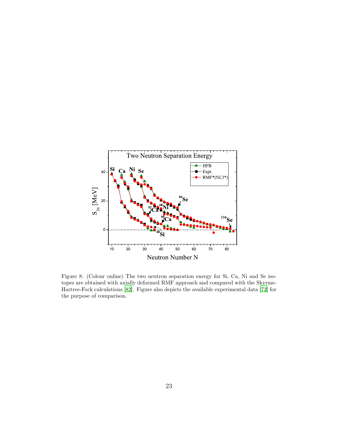

Figure 8: (Colour online) The two neutron separation energy for Si, Ca, Ni and Se isotopes are obtained with axially deformed RMF approach and compared with the Skyrme-Hartree-Fock calculations [\[82\]](#page-28-8). Figure also depicts the available experimental data [\[72\]](#page-27-15) for the purpose of comparison.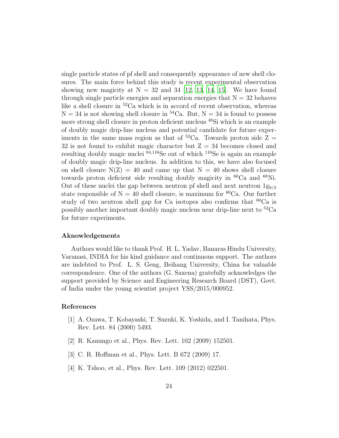single particle states of pf shell and consequently appearance of new shell closures. The main force behind this study is recent experimental observation showing new magicity at  $N = 32$  and  $34$  [\[12](#page-24-2), [13,](#page-24-3) [14](#page-24-4), [15\]](#page-24-5). We have found through single particle energies and separation energies that  $N = 32$  behaves like a shell closure in <sup>52</sup>Ca which is in accord of recent observation, whereas  $N = 34$  is not showing shell closure in <sup>54</sup>Ca. But,  $N = 34$  is found to possess more strong shell closure in proton deficient nucleus <sup>48</sup>Si which is an example of doubly magic drip-line nucleus and potential candidate for future experiments in the same mass region as that of  ${}^{52}Ca$ . Towards proton side Z = 32 is not found to exhibit magic character but  $Z = 34$  becomes closed and resulting doubly magic nuclei  $84,116$ Se out of which  $116$ Se is again an example of doubly magic drip-line nucleus. In addition to this, we have also focused on shell closure  $N(Z) = 40$  and came up that  $N = 40$  shows shell closure towards proton deficient side resulting doubly magicity in <sup>60</sup>Ca and <sup>68</sup>Ni. Out of these nuclei the gap between neutron pf shell and next neutron  $1g_{9/2}$ state responsible of  $N = 40$  shell closure, is maximum for <sup>60</sup>Ca. Our further study of two neutron shell gap for Ca isotopes also confirms that  ${}^{60}Ca$  is possibly another important doubly magic nucleus near drip-line next to <sup>52</sup>Ca for future experiments.

### Aknowledgements

Authors would like to thank Prof. H. L. Yadav, Banaras Hindu University, Varanasi, INDIA for his kind guidance and continuous support. The authors are indebted to Prof. L. S. Geng, Beihang University, China for valuable correspondence. One of the authors (G. Saxena) gratefully acknowledges the support provided by Science and Engineering Research Board (DST), Govt. of India under the young scientist project YSS/2015/000952.

#### References

- <span id="page-23-0"></span>[1] A. Ozawa, T. Kobayashi, T. Suzuki, K. Yoshida, and I. Tanihata, Phys. Rev. Lett. 84 (2000) 5493.
- <span id="page-23-1"></span>[2] R. Kanungo et al., Phys. Rev. Lett. 102 (2009) 152501.
- <span id="page-23-2"></span>[3] C. R. Hoffman et al., Phys. Lett. B 672 (2009) 17.
- <span id="page-23-3"></span>[4] K. Tshoo, et al., Phys. Rev. Lett. 109 (2012) 022501.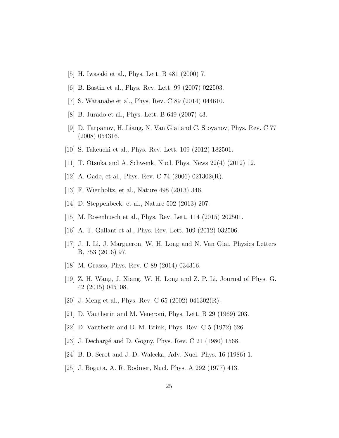- <span id="page-24-0"></span>[5] H. Iwasaki et al., Phys. Lett. B 481 (2000) 7.
- <span id="page-24-18"></span>[6] B. Bastin et al., Phys. Rev. Lett. 99 (2007) 022503.
- [7] S. Watanabe et al., Phys. Rev. C 89 (2014) 044610.
- <span id="page-24-17"></span>[8] B. Jurado et al., Phys. Lett. B 649 (2007) 43.
- <span id="page-24-19"></span>[9] D. Tarpanov, H. Liang, N. Van Giai and C. Stoyanov, Phys. Rev. C 77 (2008) 054316.
- <span id="page-24-16"></span>[10] S. Takeuchi et al., Phys. Rev. Lett. 109 (2012) 182501.
- <span id="page-24-1"></span>[11] T. Otsuka and A. Schwenk, Nucl. Phys. News 22(4) (2012) 12.
- <span id="page-24-2"></span>[12] A. Gade, et al., Phys. Rev. C 74 (2006) 021302(R).
- <span id="page-24-3"></span>[13] F. Wienholtz, et al., Nature 498 (2013) 346.
- <span id="page-24-4"></span>[14] D. Steppenbeck, et al., Nature 502 (2013) 207.
- <span id="page-24-5"></span>[15] M. Rosenbusch et al., Phys. Rev. Lett. 114 (2015) 202501.
- <span id="page-24-6"></span>[16] A. T. Gallant et al., Phys. Rev. Lett. 109 (2012) 032506.
- <span id="page-24-7"></span>[17] J. J. Li, J. Margueron, W. H. Long and N. Van Giai, Physics Letters B, 753 (2016) 97.
- <span id="page-24-8"></span>[18] M. Grasso, Phys. Rev. C 89 (2014) 034316.
- <span id="page-24-9"></span>[19] Z. H. Wang, J. Xiang, W. H. Long and Z. P. Li, Journal of Phys. G. 42 (2015) 045108.
- <span id="page-24-10"></span>[20] J. Meng et al., Phys. Rev. C 65 (2002) 041302(R).
- <span id="page-24-11"></span>[21] D. Vautherin and M. Veneroni, Phys. Lett. B 29 (1969) 203.
- <span id="page-24-12"></span>[22] D. Vautherin and D. M. Brink, Phys. Rev. C 5 (1972) 626.
- <span id="page-24-13"></span>[23] J. Dechargé and D. Gogny, Phys. Rev. C 21 (1980) 1568.
- <span id="page-24-14"></span>[24] B. D. Serot and J. D. Walecka, Adv. Nucl. Phys. 16 (1986) 1.
- <span id="page-24-15"></span>[25] J. Boguta, A. R. Bodmer, Nucl. Phys. A 292 (1977) 413.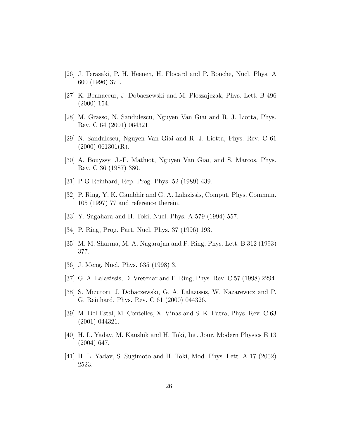- <span id="page-25-0"></span>[26] J. Terasaki, P. H. Heenen, H. Flocard and P. Bonche, Nucl. Phys. A 600 (1996) 371.
- <span id="page-25-1"></span>[27] K. Bennaceur, J. Dobaczewski and M. Ploszajczak, Phys. Lett. B 496 (2000) 154.
- <span id="page-25-2"></span>[28] M. Grasso, N. Sandulescu, Nguyen Van Giai and R. J. Liotta, Phys. Rev. C 64 (2001) 064321.
- <span id="page-25-3"></span>[29] N. Sandulescu, Nguyen Van Giai and R. J. Liotta, Phys. Rev. C 61  $(2000)$  061301 $(R)$ .
- <span id="page-25-4"></span>[30] A. Bouyssy, J.-F. Mathiot, Nguyen Van Giai, and S. Marcos, Phys. Rev. C 36 (1987) 380.
- <span id="page-25-5"></span>[31] P-G Reinhard, Rep. Prog. Phys. 52 (1989) 439.
- <span id="page-25-6"></span>[32] P. Ring, Y. K. Gambhir and G. A. Lalazissis, Comput. Phys. Commun. 105 (1997) 77 and reference therein.
- <span id="page-25-7"></span>[33] Y. Sugahara and H. Toki, Nucl. Phys. A 579 (1994) 557.
- <span id="page-25-8"></span>[34] P. Ring, Prog. Part. Nucl. Phys. 37 (1996) 193.
- <span id="page-25-9"></span>[35] M. M. Sharma, M. A. Nagarajan and P. Ring, Phys. Lett. B 312 (1993) 377.
- <span id="page-25-10"></span>[36] J. Meng, Nucl. Phys. 635 (1998) 3.
- <span id="page-25-11"></span>[37] G. A. Lalazissis, D. Vretenar and P. Ring, Phys. Rev. C 57 (1998) 2294.
- <span id="page-25-12"></span>[38] S. Mizutori, J. Dobaczewski, G. A. Lalazissis, W. Nazarewicz and P. G. Reinhard, Phys. Rev. C 61 (2000) 044326.
- <span id="page-25-13"></span>[39] M. Del Estal, M. Contelles, X. Vinas and S. K. Patra, Phys. Rev. C 63 (2001) 044321.
- <span id="page-25-14"></span>[40] H. L. Yadav, M. Kaushik and H. Toki, Int. Jour. Modern Physics E 13 (2004) 647.
- <span id="page-25-15"></span>[41] H. L. Yadav, S. Sugimoto and H. Toki, Mod. Phys. Lett. A 17 (2002) 2523.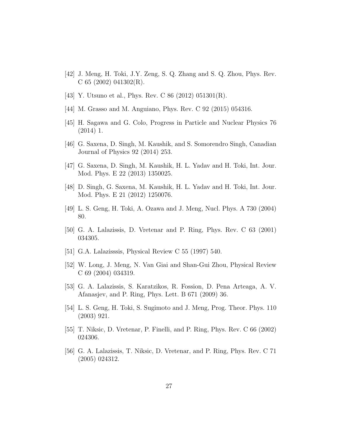- <span id="page-26-0"></span>[42] J. Meng, H. Toki, J.Y. Zeng, S. Q. Zhang and S. Q. Zhou, Phys. Rev. C 65 (2002) 041302(R).
- <span id="page-26-1"></span>[43] Y. Utsuno et al., Phys. Rev. C 86 (2012) 051301(R).
- <span id="page-26-2"></span>[44] M. Grasso and M. Anguiano, Phys. Rev. C 92 (2015) 054316.
- <span id="page-26-3"></span>[45] H. Sagawa and G. Colo, Progress in Particle and Nuclear Physics 76 (2014) 1.
- <span id="page-26-4"></span>[46] G. Saxena, D. Singh, M. Kaushik, and S. Somorendro Singh, Canadian Journal of Physics 92 (2014) 253.
- <span id="page-26-5"></span>[47] G. Saxena, D. Singh, M. Kaushik, H. L. Yadav and H. Toki, Int. Jour. Mod. Phys. E 22 (2013) 1350025.
- <span id="page-26-6"></span>[48] D. Singh, G. Saxena, M. Kaushik, H. L. Yadav and H. Toki, Int. Jour. Mod. Phys. E 21 (2012) 1250076.
- <span id="page-26-7"></span>[49] L. S. Geng, H. Toki, A. Ozawa and J. Meng, Nucl. Phys. A 730 (2004) 80.
- <span id="page-26-8"></span>[50] G. A. Lalazissis, D. Vretenar and P. Ring, Phys. Rev. C 63 (2001) 034305.
- <span id="page-26-9"></span>[51] G.A. Lalazisssis, Physical Review C 55 (1997) 540.
- <span id="page-26-10"></span>[52] W. Long, J. Meng, N. Van Giai and Shan-Gui Zhou, Physical Review C 69 (2004) 034319.
- <span id="page-26-11"></span>[53] G. A. Lalazissis, S. Karatzikos, R. Fossion, D. Pena Arteaga, A. V. Afanasjev, and P. Ring, Phys. Lett. B 671 (2009) 36.
- <span id="page-26-12"></span>[54] L. S. Geng, H. Toki, S. Sugimoto and J. Meng, Prog. Theor. Phys. 110 (2003) 921.
- <span id="page-26-13"></span>[55] T. Niksic, D. Vretenar, P. Finelli, and P. Ring, Phys. Rev. C 66 (2002) 024306.
- <span id="page-26-14"></span>[56] G. A. Lalazissis, T. Niksic, D. Vretenar, and P. Ring, Phys. Rev. C 71 (2005) 024312.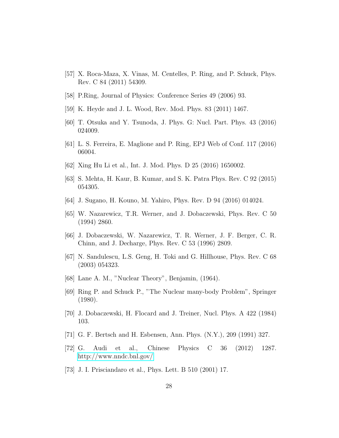- <span id="page-27-0"></span>[57] X. Roca-Maza, X. Vinas, M. Centelles, P. Ring, and P. Schuck, Phys. Rev. C 84 (2011) 54309.
- <span id="page-27-1"></span>[58] P.Ring, Journal of Physics: Conference Series 49 (2006) 93.
- <span id="page-27-2"></span>[59] K. Heyde and J. L. Wood, Rev. Mod. Phys. 83 (2011) 1467.
- <span id="page-27-3"></span>[60] T. Otsuka and Y. Tsunoda, J. Phys. G: Nucl. Part. Phys. 43 (2016) 024009.
- <span id="page-27-4"></span>[61] L. S. Ferreira, E. Maglione and P. Ring, EPJ Web of Conf. 117 (2016) 06004.
- <span id="page-27-5"></span>[62] Xing Hu Li et al., Int. J. Mod. Phys. D 25 (2016) 1650002.
- <span id="page-27-6"></span>[63] S. Mehta, H. Kaur, B. Kumar, and S. K. Patra Phys. Rev. C 92 (2015) 054305.
- <span id="page-27-7"></span>[64] J. Sugano, H. Kouno, M. Yahiro, Phys. Rev. D 94 (2016) 014024.
- <span id="page-27-8"></span>[65] W. Nazarewicz, T.R. Werner, and J. Dobaczewski, Phys. Rev. C 50 (1994) 2860.
- <span id="page-27-9"></span>[66] J. Dobaczewski, W. Nazarewicz, T. R. Werner, J. F. Berger, C. R. Chinn, and J. Decharge, Phys. Rev. C 53 (1996) 2809.
- <span id="page-27-10"></span>[67] N. Sandulescu, L.S. Geng, H. Toki and G. Hillhouse, Phys. Rev. C 68 (2003) 054323.
- <span id="page-27-11"></span>[68] Lane A. M., "Nuclear Theory", Benjamin, (1964).
- <span id="page-27-12"></span>[69] Ring P. and Schuck P., "The Nuclear many-body Problem", Springer (1980).
- <span id="page-27-13"></span>[70] J. Dobaczewski, H. Flocard and J. Treiner, Nucl. Phys. A 422 (1984) 103.
- <span id="page-27-14"></span>[71] G. F. Bertsch and H. Esbensen, Ann. Phys. (N.Y.), 209 (1991) 327.
- <span id="page-27-15"></span>[72] G. Audi et al., Chinese Physics C 36 (2012) 1287. <http://www.nndc.bnl.gov/>
- <span id="page-27-16"></span>[73] J. I. Prisciandaro et al., Phys. Lett. B 510 (2001) 17.